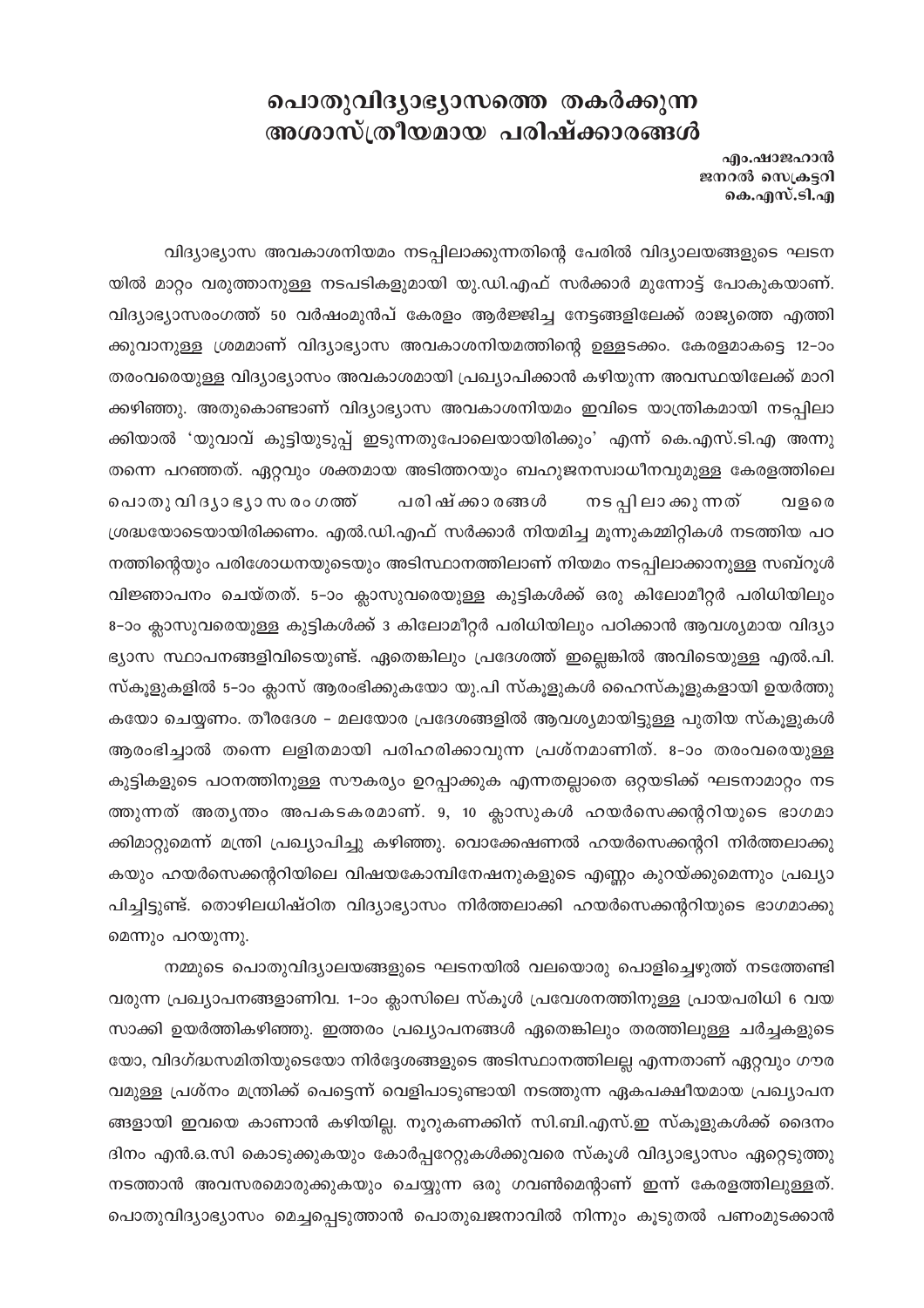## പൊതുവിദ്യാഭ്യാസത്തെ തകർക്കുന്ന അശാസ്ത്രീയമായ പരിഷ്ക്കാരങ്ങൾ

എം.ഷാജഹാൻ ജനറൽ സെക്രട്ടറി കെ.എസ്.ടി.എ

വിദ്യാഭ്യാസ അവകാശനിയമം നടപ്പിലാക്കുന്നതിന്റെ പേരിൽ വിദ്യാലയങ്ങളുടെ ഘടന യിൽ മാറ്റം വരുത്താനുള്ള നടപടികളുമായി യു.ഡി.എഫ് സർക്കാർ മുന്നോട്ട് പോകുകയാണ്. വിദ്യാഭ്യാസരംഗത്ത് 50 വർഷംമുൻപ് കേരളം ആർജ്ജിച്ച നേട്ടങ്ങളിലേക്ക് രാജ്യത്തെ എത്തി ക്കുവാനുള്ള ശ്രമമാണ് വിദ്യാഭ്യാസ അവകാശനിയമത്തിന്റെ ഉള്ളടക്കം. കേരളമാകട്ടെ 12–ാം തരംവരെയുള്ള വിദ്യാഭ്യാസം അവകാശമായി പ്രഖ്യാപിക്കാൻ കഴിയുന്ന അവസ്ഥയിലേക്ക് മാറി ക്കഴിഞ്ഞു. അതുകൊണ്ടാണ് വിദ്യാഭ്യാസ അവകാശനിയമം ഇവിടെ യാന്ത്രികമായി നടപ്പിലാ ക്കിയാൽ 'യുവാവ് കുട്ടിയുടുപ്പ് ഇടുന്നതുപോലെയായിരിക്കും' എന്ന് കെ.എസ്.ടി.എ അന്നു തന്നെ പറഞ്ഞത്. ഏറ്റവും ശക്തമായ അടിത്തറയും ബഹുജനസ്വാധീനവുമുള്ള കേരളത്തിലെ പൊതു വി ദൃാ ഭൃാ സ രം ഗത്ത് പരിഷ്ക്കാര**ങ്ങ**ൾ നട പ്പി ലാ ക്കു ന്നത് വളരെ ശ്രദ്ധയോടെയായിരിക്കണം. എൽ.ഡി.എഫ് സർക്കാർ നിയമിച്ച മൂന്നുകമ്മിറ്റികൾ നടത്തിയ പഠ നത്തിന്റെയും പരിശോധനയുടെയും അടിസ്ഥാനത്തിലാണ് നിയമം നടപ്പിലാക്കാനുള്ള സബ്റൂൾ വിജ്ഞാപനം ചെയ്തത്. 5–ാം ക്ലാസുവരെയുള്ള കുട്ടികൾക്ക് ഒരു കിലോമീറ്റർ പരിധിയിലും 8-ാം ക്ലാസുവരെയുള്ള കുട്ടികൾക്ക് 3 കിലോമീറ്റർ പരിധിയിലും പഠിക്കാൻ ആവശ്യമായ വിദ്യാ ഭ്യാസ സ്ഥാപനങ്ങളിവിടെയുണ്ട്. ഏതെങ്കിലും പ്രദേശത്ത് ഇല്ലെങ്കിൽ അവിടെയുള്ള എൽ.പി. സ്കൂളുകളിൽ 5–ാം ക്ലാസ് ആരംഭിക്കുകയോ യു.പി സ്കൂളുകൾ ഹൈസ്കൂളുകളായി ഉയർത്തു കയോ ചെയ്യണം. തീരദേശ – മലയോര പ്രദേശങ്ങളിൽ ആവശ്യമായിട്ടുള്ള പുതിയ സ്കൂളുകൾ ആരംഭിച്ചാൽ തന്നെ ലളിതമായി പരിഹരിക്കാവുന്ന പ്രശ്നമാണിത്. 8-ാം തരംവരെയുള്ള കുട്ടികളുടെ പഠനത്തിനുള്ള സൗകര്യം ഉറപ്പാക്കുക എന്നതല്ലാതെ ഒറ്റയടിക്ക് ഘടനാമാറ്റം നട ത്തുന്നത് അതൃന്തം അപകടകരമാണ്. 9, 10 ക്ലാസുകൾ ഹയർസെക്കന്ററിയുടെ ഭാഗമാ ക്കിമാറ്റുമെന്ന് മന്ത്രി പ്രഖ്യാപിച്ചു കഴിഞ്ഞു. വൊക്കേഷണൽ ഹയർസെക്കന്ററി നിർത്തലാക്കു കയും ഹയർസെക്കന്ററിയിലെ വിഷയകോമ്പിനേഷനുകളുടെ എണ്ണം കുറയ്ക്കുമെന്നും പ്രഖ്യാ പിച്ചിട്ടുണ്ട്. തൊഴിലധിഷ്ഠിത വിദ്യാഭ്യാസം നിർത്തലാക്കി ഹയർസെക്കന്ററിയുടെ ഭാഗമാക്കു മെന്നും പറയുന്നു.

നമ്മുടെ പൊതുവിദ്യാലയങ്ങളുടെ ഘടനയിൽ വലയൊരു പൊളിച്ചെഴുത്ത് നടത്തേണ്ടി വരുന്ന പ്രഖ്യാപനങ്ങളാണിവ. 1-ാം ക്ലാസിലെ സ്കൂൾ പ്രവേശനത്തിനുള്ള പ്രായപരിധി 6 വയ സാക്കി ഉയർത്തികഴിഞ്ഞു. ഇത്തരം പ്രഖ്യാപനങ്ങൾ ഏതെങ്കിലും തരത്തിലുള്ള ചർച്ചകളുടെ യോ, വിദഗ്ദ്ധസമിതിയുടെയോ നിർദ്ദേശങ്ങളുടെ അടിസ്ഥാനത്തിലല്ല എന്നതാണ് ഏറ്റവും ഗൗര വമുള്ള പ്രശ്നം മന്ത്രിക്ക് പെട്ടെന്ന് വെളിപാടുണ്ടായി നടത്തുന്ന ഏകപക്ഷീയമായ പ്രഖ്യാപന ങ്ങളായി ഇവയെ കാണാൻ കഴിയില്ല. നൂറുകണക്കിന് സി.ബി.എസ്.ഇ സ്കൂളുകൾക്ക് ദൈനം ദിനം എൻ.ഒ.സി കൊടുക്കുകയും കോർപ്പറേറ്റുകൾക്കുവരെ സ്കൂൾ വിദ്യാഭ്യാസം ഏറ്റെടുത്തു നടത്താൻ അവസരമൊരുക്കുകയും ചെയ്യുന്ന ഒരു ഗവൺമെന്റാണ് ഇന്ന് കേരളത്തിലുള്ളത്. പൊതുവിദ്യാഭ്യാസം മെച്ചപ്പെടുത്താൻ പൊതുഖജനാവിൽ നിന്നും കൂടുതൽ പണംമുടക്കാൻ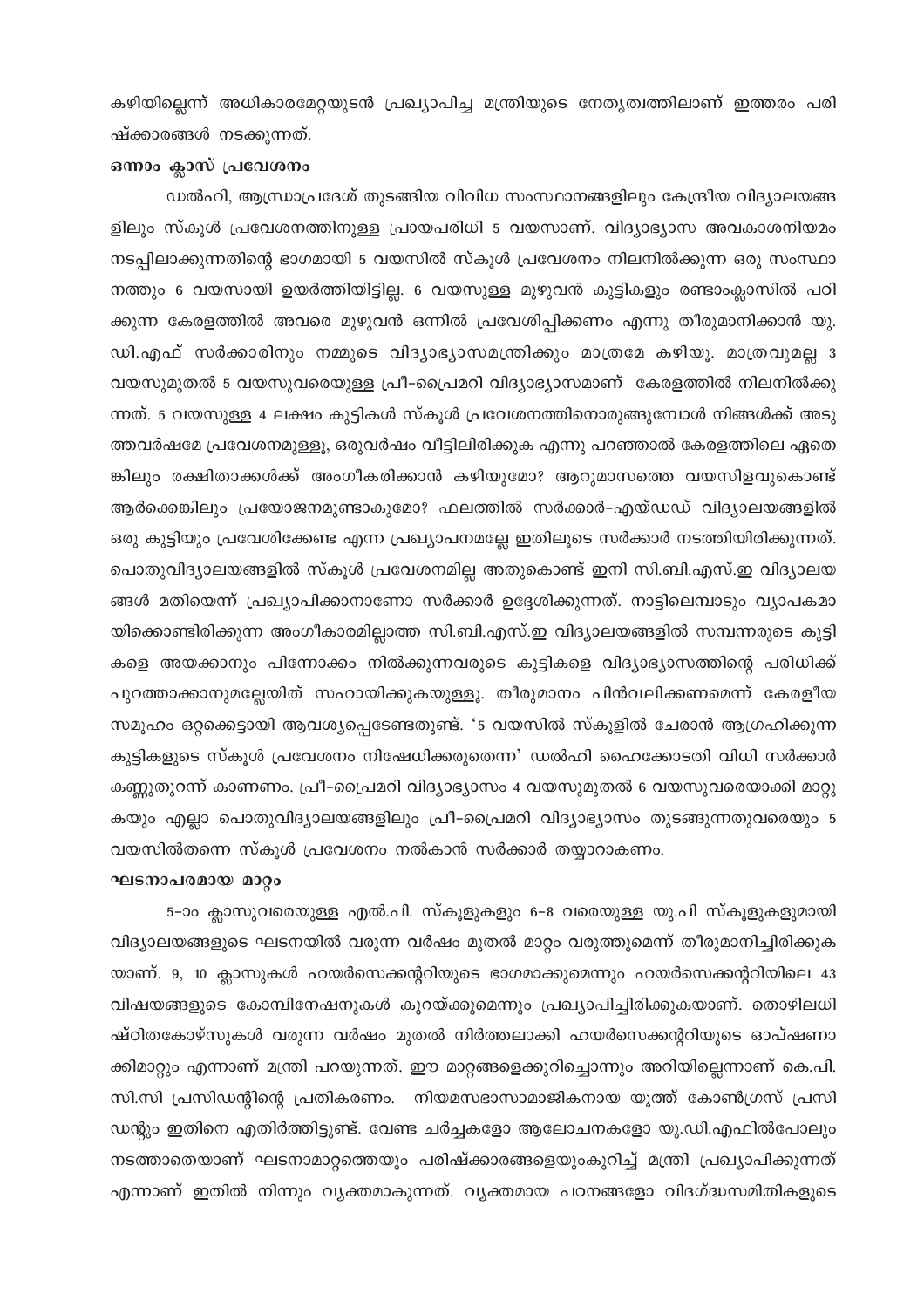കഴിയില്ലെന്ന് അധികാരമേറ്റയുടൻ പ്രഖ്യാപിച്ച മന്ത്രിയുടെ നേതൃത്വത്തിലാണ് ഇത്തരം പരി ഷ്ക്കാരങ്ങൾ നടക്കുന്നത്.

## ഒന്നാം ക്ലാസ് പ്രവേശനം

ഡൽഹി, ആന്ധ്രാപ്രദേശ് തുടങ്ങിയ വിവിധ സംസ്ഥാനങ്ങളിലും കേന്ദ്രീയ വിദ്യാലയങ്ങ ളിലും സ്കൂൾ പ്രവേശനത്തിനുള്ള പ്രായപരിധി 5 വയസാണ്. വിദ്യാഭ്യാസ അവകാശനിയമം നടപ്പിലാക്കുന്നതിന്റെ ഭാഗമായി 5 വയസിൽ സ്കൂൾ പ്രവേശനം നിലനിൽക്കുന്ന ഒരു സംസ്ഥാ നത്തും 6 വയസായി ഉയർത്തിയിട്ടില്ല. 6 വയസുള്ള മുഴുവൻ കുട്ടികളും രണ്ടാംക്ലാസിൽ പഠി ക്കുന്ന കേരളത്തിൽ അവരെ മുഴുവൻ ഒന്നിൽ പ്രവേശിപ്പിക്കണം എന്നു തീരുമാനിക്കാൻ യു. ഡി.എഫ് സർക്കാരിനും നമ്മുടെ വിദ്യാഭ്യാസമന്ത്രിക്കും മാത്രമേ കഴിയൂ. മാത്രവുമല്ല  $3$ വയസുമുതൽ 5 വയസുവരെയുള്ള പ്രീ-പ്രൈമറി വിദ്യാഭ്യാസമാണ് കേരളത്തിൽ നിലനിൽക്കു ന്നത്. 5 വയസുള്ള 4 ലക്ഷം കുട്ടികൾ സ്കൂൾ പ്രവേശനത്തിനൊരുങ്ങുമ്പോൾ നിങ്ങൾക്ക് അടു ത്തവർഷമേ പ്രവേശനമുള്ളൂ, ഒരുവർഷം വീട്ടിലിരിക്കുക എന്നു പറഞ്ഞാൽ കേരളത്തിലെ ഏതെ ങ്കിലും രക്ഷിതാക്കൾക്ക് അംഗീകരിക്കാൻ കഴിയുമോ? ആറുമാസത്തെ വയസിളവുകൊണ്ട് ആർക്കെങ്കിലും പ്രയോജനമുണ്ടാകുമോ? ഫലത്തിൽ സർക്കാർ-എയ്ഡഡ് വിദ്യാലയങ്ങളിൽ ഒരു കുട്ടിയും പ്രവേശിക്കേണ്ട എന്ന പ്രഖ്യാപനമല്ലേ ഇതിലൂടെ സർക്കാർ നടത്തിയിരിക്കുന്നത്. പൊതുവിദ്യാലയങ്ങളിൽ സ്കൂൾ പ്രവേശനമില്ല അതുകൊണ്ട് ഇനി സി.ബി.എസ്.ഇ വിദ്യാലയ ങ്ങൾ മതിയെന്ന് പ്രഖ്യാപിക്കാനാണോ സർക്കാർ ഉദ്ദേശിക്കുന്നത്. നാട്ടിലെമ്പാടും വ്യാപകമാ യിക്കൊണ്ടിരിക്കുന്ന അംഗീകാരമില്ലാത്ത സി.ബി.എസ്.ഇ വിദ്യാലയങ്ങളിൽ സമ്പന്നരുടെ കുട്ടി കളെ അയക്കാനും പിന്നോക്കം നിൽക്കുന്നവരുടെ കുട്ടികളെ വിദ്യാഭ്യാസത്തിന്റെ പരിധിക്ക് പുറത്താക്കാനുമല്ലേയിത് സഹായിക്കുകയുള്ളൂ. തീരുമാനം പിൻവലിക്കണമെന്ന് കേരളീയ സമൂഹം ഒറ്റക്കെട്ടായി ആവശ്യപ്പെടേണ്ടതുണ്ട്. '5 വയസിൽ സ്കൂളിൽ ചേരാൻ ആഗ്രഹിക്കുന്ന കുട്ടികളുടെ സ്കൂൾ പ്രവേശനം നിഷേധിക്കരുതെന്ന' ഡൽഹി ഹൈക്കോടതി വിധി സർക്കാർ കണ്ണുതുറന്ന് കാണണം. പ്രീ-പ്രൈമറി വിദ്യാഭ്യാസം 4 വയസുമുതൽ 6 വയസുവരെയാക്കി മാറ്റു കയും എല്ലാ പൊതുവിദ്യാലയങ്ങളിലും പ്രീ-പ്രൈമറി വിദ്യാഭ്യാസം തുടങ്ങുന്നതുവരെയും 5 വയസിൽതന്നെ സ്കൂൾ പ്രവേശനം നൽകാൻ സർക്കാർ തയ്യാറാകണം.

## <u>ഘടനാപരമായ മാറ്റം</u>

5–ാം ക്ലാസുവരെയുള്ള എൽ.പി. സ്കൂളുകളും 6–8 വരെയുള്ള യു.പി സ്കൂളുകളുമായി വിദ്യാലയങ്ങളുടെ ഘടനയിൽ വരുന്ന വർഷം മുതൽ മാറ്റം വരുത്തുമെന്ന് തീരുമാനിച്ചിരിക്കുക യാണ്. 9, 10 ക്ലാസുകൾ ഹയർസെക്കന്ററിയുടെ ഭാഗമാക്കുമെന്നും ഹയർസെക്കന്ററിയിലെ 43 വിഷയങ്ങളുടെ കോമ്പിനേഷനുകൾ കുറയ്ക്കുമെന്നും പ്രഖ്യാപിച്ചിരിക്കുകയാണ്. തൊഴിലധി ഷ്ഠിതകോഴ്സുകൾ വരുന്ന വർഷം മുതൽ നിർത്തലാക്കി ഹയർസെക്കന്ററിയുടെ ഓപ്ഷണാ ക്കിമാറ്റും എന്നാണ് മന്ത്രി പറയുന്നത്. ഈ മാറ്റങ്ങളെക്കുറിച്ചൊന്നും അറിയില്ലെന്നാണ് കെ.പി. സി.സി പ്രസിഡന്റിന്റെ പ്രതികരണം. നിയമസഭാസാമാജികനായ യുത്ത് കോൺഗ്രസ് പ്രസി ഡന്റും ഇതിനെ എതിർത്തിട്ടുണ്ട്. വേണ്ട ചർച്ചകളോ ആലോചനകളോ യു.ഡി.എഫിൽപോലും നടത്താതെയാണ് ഘടനാമാറ്റത്തെയും പരിഷ്ക്കാരങ്ങളെയുംകുറിച്ച് മന്ത്രി പ്രഖ്യാപിക്കുന്നത് എന്നാണ് ഇതിൽ നിന്നും വൃക്തമാകുന്നത്. വൃക്തമായ പഠനങ്ങളോ വിദഗ്ദ്ധസമിതികളുടെ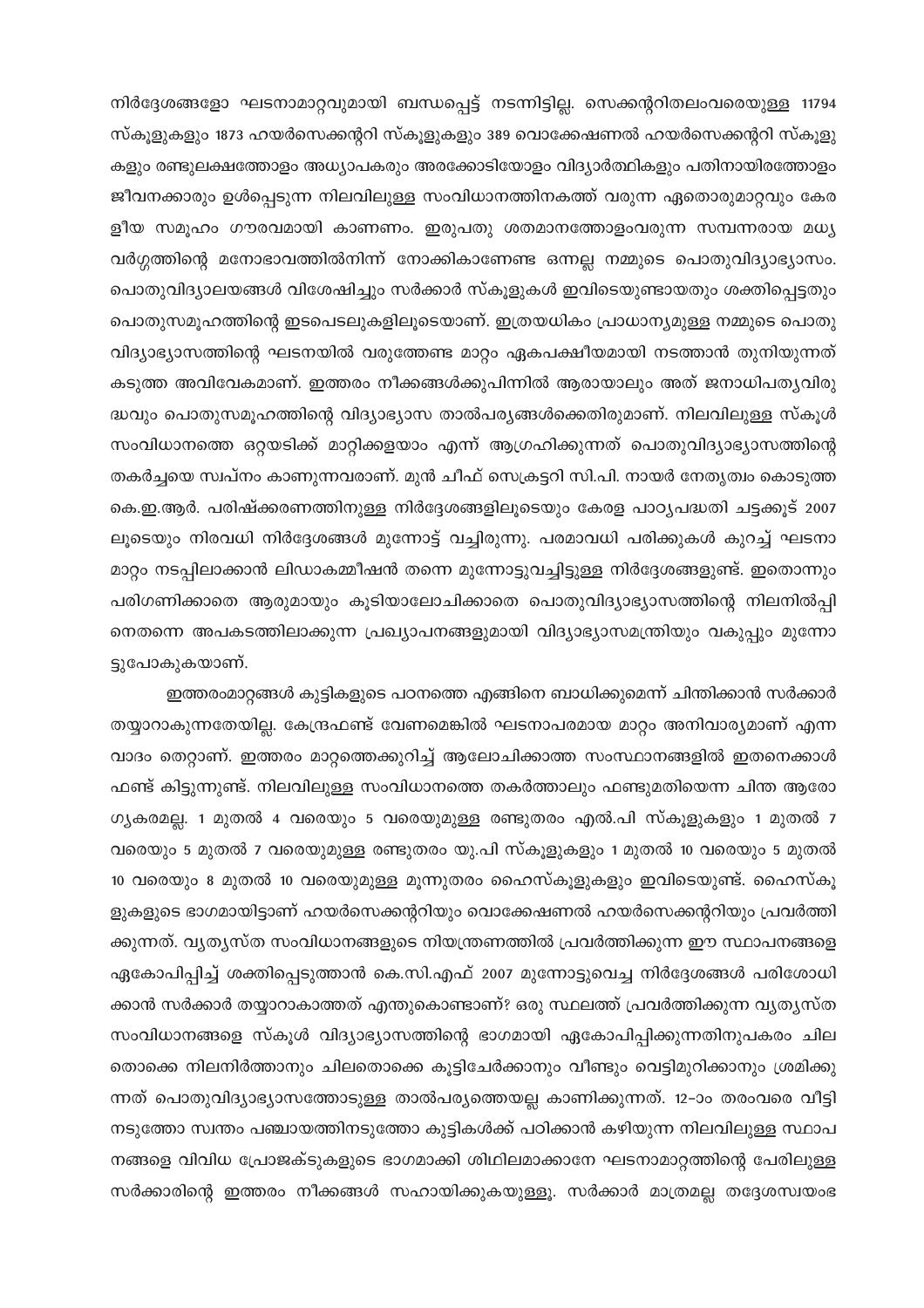നിർദ്ദേശങ്ങളോ ഘടനാമാറ്റവുമായി ബന്ധപ്പെട്ട് നടന്നിട്ടില്ല. സെക്കന്ററിതലംവരെയുള്ള 11794 സ്കൂളുകളും 1873 ഹയർസെക്കന്ററി സ്കൂളുകളും 389 വൊക്കേഷണൽ ഹയർസെക്കന്ററി സ്കൂളു കളും രണ്ടുലക്ഷത്തോളം അധ്യാപകരും അരക്കോടിയോളം വിദ്യാർത്ഥികളും പതിനായിരത്തോളം ജീവനക്കാരും ഉൾപ്പെടുന്ന നിലവിലുള്ള സംവിധാനത്തിനകത്ത് വരുന്ന ഏതൊരുമാറ്റവും കേര ളീയ സമൂഹം ഗൗരവമായി കാണണം. ഇരുപതു ശതമാനത്തോളംവരുന്ന സമ്പന്നരായ മധ്യ വർഗ്ഗത്തിന്റെ മനോഭാവത്തിൽനിന്ന് നോക്കികാണേണ്ട ഒന്നല്ല നമ്മുടെ പൊതുവിദ്യാഭ്യാസം. പൊതുവിദ്യാലയങ്ങൾ വിശേഷിച്ചും സർക്കാർ സ്കൂളുകൾ ഇവിടെയുണ്ടായതും ശക്തിപ്പെട്ടതും പൊതുസമൂഹത്തിന്റെ ഇടപെടലുകളിലൂടെയാണ്. ഇത്രയധികം പ്രാധാന്യമുള്ള നമ്മുടെ പൊതു വിദ്യാഭ്യാസത്തിന്റെ ഘടനയിൽ വരുത്തേണ്ട മാറ്റം ഏകപക്ഷീയമായി നടത്താൻ തുനിയുന്നത് കടുത്ത അവിവേകമാണ്. ഇത്തരം നീക്കങ്ങൾക്കുപിന്നിൽ ആരായാലും അത് ജനാധിപതൃവിരു ദ്ധവും പൊതുസമൂഹത്തിന്റെ വിദ്യാഭ്യാസ താൽപര്യങ്ങൾക്കെതിരുമാണ്. നിലവിലുള്ള സ്കൂൾ സംവിധാനത്തെ ഒറ്റയടിക്ക് മാറ്റിക്കളയാം എന്ന് ആഗ്രഹിക്കുന്നത് പൊതുവിദ്യാഭ്യാസത്തിന്റെ തകർച്ചയെ സ്ഥപ്നം കാണുന്നവരാണ്. മുൻ ചീഫ് സെക്രട്ടറി സി.പി. നായർ നേതൃത്വം കൊടുത്ത കെ.ഇ.ആർ. പരിഷ്ക്കരണത്തിനുള്ള നിർദ്ദേശങ്ങളിലൂടെയും കേരള പാഠ്യപദ്ധതി ചട്ടക്കൂട് 2007 ലൂടെയും നിരവധി നിർദ്ദേശങ്ങൾ മുന്നോട്ട് വച്ചിരുന്നു. പരമാവധി പരിക്കുകൾ കുറച്ച് ഘടനാ മാറ്റം നടപ്പിലാക്കാൻ ലിഡാകമ്മീഷൻ തന്നെ മുന്നോട്ടുവച്ചിട്ടുള്ള നിർദ്ദേശങ്ങളുണ്ട്. ഇതൊന്നും പരിഗണിക്കാതെ ആരുമായും കൂടിയാലോചിക്കാതെ പൊതുവിദ്യാഭ്യാസത്തിന്റെ നിലനിൽപ്പി നെതന്നെ അപകടത്തിലാക്കുന്ന പ്രഖ്യാപനങ്ങളുമായി വിദ്യാഭ്യാസമന്ത്രിയും വകുപ്പും മുന്നോ ട്ടുപോകുകയാണ്.

ഇത്തരംമാറ്റങ്ങൾ കുട്ടികളുടെ പഠനത്തെ എങ്ങിനെ ബാധിക്കുമെന്ന് ചിന്തിക്കാൻ സർക്കാർ തയ്യാറാകുന്നതേയില്ല. കേന്ദ്രഫണ്ട് വേണമെങ്കിൽ ഘടനാപരമായ മാറ്റം അനിവാര്യമാണ് എന്ന വാദം തെറ്റാണ്. ഇത്തരം മാറ്റത്തെക്കുറിച്ച് ആലോചിക്കാത്ത സംസ്ഥാനങ്ങളിൽ ഇതനെക്കാൾ ഫണ്ട് കിട്ടുന്നുണ്ട്. നിലവിലുള്ള സംവിധാനത്തെ തകർത്താലും ഫണ്ടുമതിയെന്ന ചിന്ത ആരോ ഗ്യകരമല്ല. 1 മുതൽ 4 വരെയും 5 വരെയുമുള്ള രണ്ടുതരം എൽ.പി സ്കൂളുകളും 1 മുതൽ 7 വരെയും 5 മുതൽ 7 വരെയുമുള്ള രണ്ടുതരം യു.പി സ്കൂളുകളും 1 മുതൽ 10 വരെയും 5 മുതൽ 10 വരെയും 8 മുതൽ 10 വരെയുമുള്ള മൂന്നുതരം ഹൈസ്കൂളുകളും ഇവിടെയുണ്ട്. ഹൈസ്കൂ ളുകളുടെ ഭാഗമായിട്ടാണ് ഹയർസെക്കന്ററിയും വൊക്കേഷണൽ ഹയർസെക്കന്ററിയും പ്രവർത്തി ക്കുന്നത്. വ്യതൃസ്ത സംവിധാനങ്ങളുടെ നിയന്ത്രണത്തിൽ പ്രവർത്തിക്കുന്ന ഈ സ്ഥാപനങ്ങളെ ഏകോപിപ്പിച്ച് ശക്തിപ്പെടുത്താൻ കെ.സി.എഫ് 2007 മുന്നോട്ടുവെച്ച നിർദ്ദേശങ്ങൾ പരിശോധി ക്കാൻ സർക്കാർ തയ്യാറാകാത്തത് എന്തുകൊണ്ടാണ്? ഒരു സ്ഥലത്ത് പ്രവർത്തിക്കുന്ന വൃതൃസ്ത സംവിധാനങ്ങളെ സ്കൂൾ വിദ്യാഭ്യാസത്തിന്റെ ഭാഗമായി ഏകോപിപ്പിക്കുന്നതിനുപകരം ചില തൊക്കെ നിലനിർത്താനും ചിലതൊക്കെ കൂട്ടിചേർക്കാനും വീണ്ടും വെട്ടിമുറിക്കാനും ശ്രമിക്കു ന്നത് പൊതുവിദ്യാഭ്യാസത്തോടുള്ള താൽപര്യത്തെയല്ല കാണിക്കുന്നത്. 12–ാം തരംവരെ വീട്ടി നടുത്തോ സ്വന്തം പഞ്ചായത്തിനടുത്തോ കുട്ടികൾക്ക് പഠിക്കാൻ കഴിയുന്ന നിലവിലുള്ള സ്ഥാപ നങ്ങളെ വിവിധ പ്രോജക്ടുകളുടെ ഭാഗമാക്കി ശിഥിലമാക്കാനേ ഘടനാമാറ്റത്തിന്റെ പേരിലുള്ള സർക്കാരിന്റെ ഇത്തരം നീക്കങ്ങൾ സഹായിക്കുകയുള്ളൂ. സർക്കാർ മാത്രമല്ല തദ്ദേശസ്വയംഭ